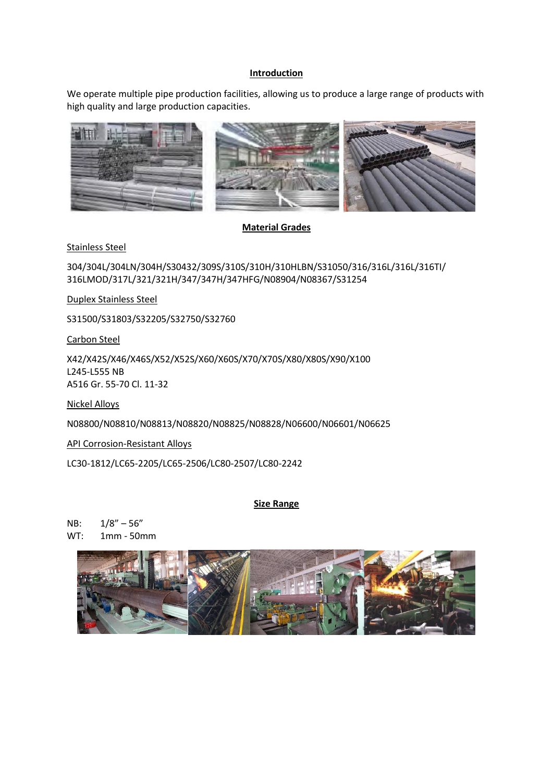### **Introduction**

We operate multiple pipe production facilities, allowing us to produce a large range of products with high quality and large production capacities.



**Material Grades**

Stainless Steel

304/304L/304LN/304H/S30432/309S/310S/310H/310HLBN/S31050/316/316L/316L/316TI/ 316LMOD/317L/321/321H/347/347H/347HFG/N08904/N08367/S31254

Duplex Stainless Steel

S31500/S31803/S32205/S32750/S32760

Carbon Steel

X42/X42S/X46/X46S/X52/X52S/X60/X60S/X70/X70S/X80/X80S/X90/X100 L245-L555 NB A516 Gr. 55-70 Cl. 11-32

Nickel Alloys

N08800/N08810/N08813/N08820/N08825/N08828/N06600/N06601/N06625

API Corrosion-Resistant Alloys

LC30-1812/LC65-2205/LC65-2506/LC80-2507/LC80-2242

### **Size Range**

NB: 1/8" – 56" WT: 1mm - 50mm

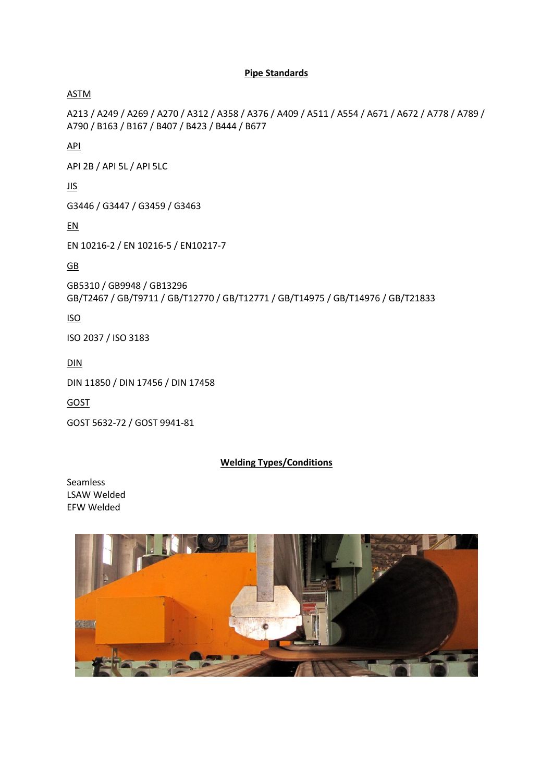# **Pipe Standards**

ASTM

A213 / A249 / A269 / A270 / A312 / A358 / A376 / A409 / A511 / A554 / A671 / A672 / A778 / A789 / A790 / B163 / B167 / B407 / B423 / B444 / B677

API

API 2B / API 5L / API 5LC

JIS

G3446 / G3447 / G3459 / G3463

EN

EN 10216-2 / EN 10216-5 / EN10217-7

GB

GB5310 / GB9948 / GB13296 GB/T2467 / GB/T9711 / GB/T12770 / GB/T12771 / GB/T14975 / GB/T14976 / GB/T21833

ISO

ISO 2037 / ISO 3183

DIN

DIN 11850 / DIN 17456 / DIN 17458

GOST

GOST 5632-72 / GOST 9941-81

### **Welding Types/Conditions**

Seamless LSAW Welded EFW Welded